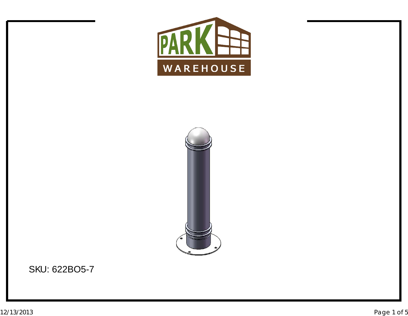



SKU: 622BO5-7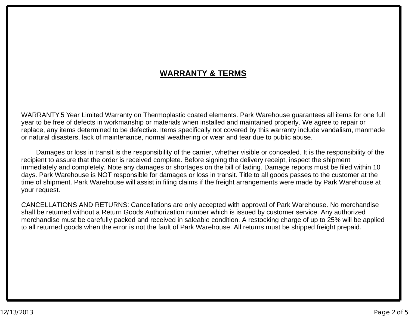## **WARRANTY & TERMS**

WARRANTY 5 Year Limited Warranty on Thermoplastic coated elements. Park Warehouse guarantees all items for one full<br>voar to be free of defects in werkmanship er materials when installed and maintained preperly. We agree to year to be free of defects in workmanship or materials when installed and maintained properly. We agree to repair or<br>replace, any itams determined to be defective, Itams aposifically not covered by this werrenty include ve replace, any items determined to be defective. Items specifically not covered by this warranty include vandalism, manmade<br>er natural disactere, lack of maintenance, narmal weathering ar wear and tear due to public abuse. or natural disasters, lack of maintenance, normal weathering or wear and tear due to public abuse.

Damages or loss in transit is the responsibility of the carrier, whether visible or concealed. It is the responsibility of the<br>ient to coaure that the erder is resolued complete. Before signing the delivery resolut, increa recipient to assure that the order is received complete. Before signing the delivery receipt, inspect the shipment<br>immodiately and completely. Note any demages ar shartages an the bill of lading. Demage reports must be fil immediately and completely. Note any damages or shortages on the bill of lading. Damage reports must be filed within 10<br>dave. Park Warehouse is NOT reponsible for damages or loss in transit. Title to all geode peases to th days. Park Warehouse is NOT responsible for damages or loss in transit. Title to all goods passes to the customer at the<br>time of shipment, Park Warehouse will assist in filing claims if the freight arrangements were made b time of shipment. Park Warehouse will assist in filing claims if the freight arrangements were made by Park Warehouse at your request.

CANCELLATIONS AND RETURNS: Cancellations are only accepted with approval of Park Warehouse. No merchandise shall be returned without <sup>a</sup> Return Goods Authorization number which is issued by customer service. Any authorized merchandise must be carefully packed and received in saleable condition. A restocking charge of up to 25% will be applied<br>to all returned goods when the error is not the fault of Park Warehouse. All returns must be shipped to all returned goods when the error is not the fault of Park Warehouse. All returns must be shipped freight prepaid.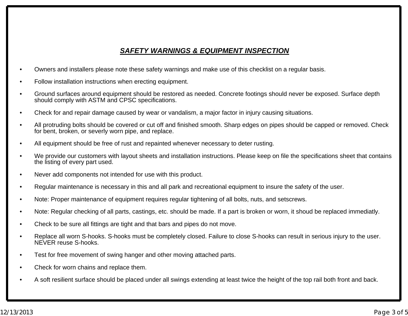## *SAFETY WARNINGS & EQUIPMENT INSPECTION*

- •Owners and installers please note these safety warnings and make use of this checklist on <sup>a</sup> regular basis.
- •Follow installation instructions when erecting equipment.
- • Ground surfaces around equipment should be restored as needed. Concrete footings should never be exposed. Surface depth should comply with ASTM and CPSC specifications.
- •Check for and repair damage caused by wear or vandalism, <sup>a</sup> major factor in injury causing situations.
- • All protruding bolts should be covered or cut off and finished smooth. Sharp edges on pipes should be capped or removed. Check for bent, broken, or severly worn pipe, and replace.
- •All equipment should be free of rust and repainted whenever necessary to deter rusting.
- • We provide our customers with layout sheets and installation instructions. Please keep on file the specifications sheet that contains the listing of every part used.
- •Never add components not intended for use with this product.
- •Regular maintenance is necessary in this and all park and recreational equipment to insure the safety of the user.
- •Note: Proper maintenance of equipment requires regular tightening of all bolts, nuts, and setscrews.
- •Note: Regular checking of all parts, castings, etc. should be made. If <sup>a</sup> part is broken or worn, it shoud be replaced immediatly.
- •Check to be sure all fittings are tight and that bars and pipes do not move.
- • Replace all worn S-hooks. S-hooks must be completely closed. Failure to close S-hooks can result in serious injury to the user. NEVER reuse S-hooks.
- •Test for free movement of swing hanger and other moving attached parts.
- •Check for worn chains and replace them.
- •A soft resilient surface should be placed under all swings extending at least twice the height of the top rail both front and back.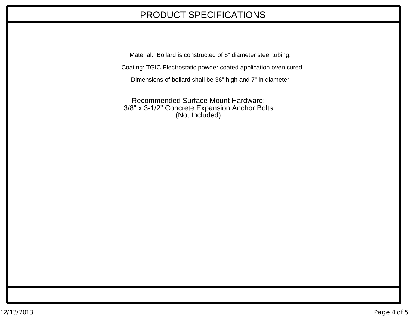## PRODUCT SPECIFICATIONS

Material: Bollard is constructed of 6" diameter steel tubing. Coating: TGIC Electrostatic powder coated application oven cured Dimensions of bollard shall be 36" high and 7" in diameter.

Recommended Surface Mount Hardware: 3/8" x 3-1/2" Concrete Expansion Anchor Bolts (Not Included)